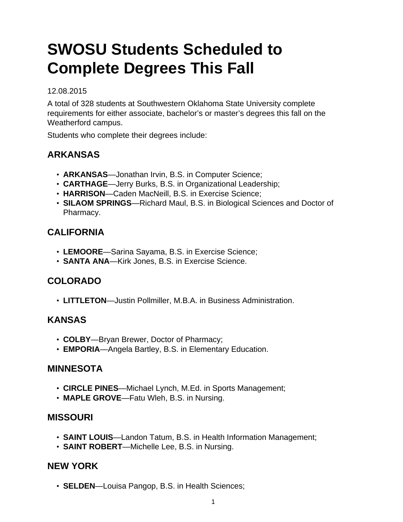# **SWOSU Students Scheduled to Complete Degrees This Fall**

#### 12.08.2015

A total of 328 students at Southwestern Oklahoma State University complete requirements for either associate, bachelor's or master's degrees this fall on the Weatherford campus.

Students who complete their degrees include:

# **ARKANSAS**

- **ARKANSAS**—Jonathan Irvin, B.S. in Computer Science;
- **CARTHAGE**—Jerry Burks, B.S. in Organizational Leadership;
- **HARRISON**—Caden MacNeill, B.S. in Exercise Science;
- **SILAOM SPRINGS**—Richard Maul, B.S. in Biological Sciences and Doctor of Pharmacy.

## **CALIFORNIA**

- **LEMOORE**—Sarina Sayama, B.S. in Exercise Science;
- **SANTA ANA**—Kirk Jones, B.S. in Exercise Science.

# **COLORADO**

• **LITTLETON**—Justin Pollmiller, M.B.A. in Business Administration.

#### **KANSAS**

- **COLBY**—Bryan Brewer, Doctor of Pharmacy;
- **EMPORIA**—Angela Bartley, B.S. in Elementary Education.

#### **MINNESOTA**

- **CIRCLE PINES**—Michael Lynch, M.Ed. in Sports Management;
- **MAPLE GROVE**—Fatu Wleh, B.S. in Nursing.

#### **MISSOURI**

- **SAINT LOUIS**—Landon Tatum, B.S. in Health Information Management;
- **SAINT ROBERT**—Michelle Lee, B.S. in Nursing.

## **NEW YORK**

• **SELDEN**—Louisa Pangop, B.S. in Health Sciences;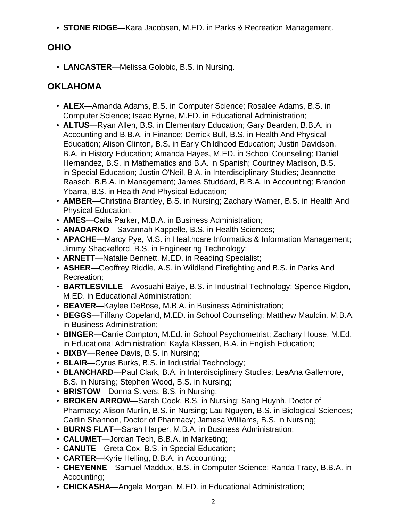• **STONE RIDGE**—Kara Jacobsen, M.ED. in Parks & Recreation Management.

# **OHIO**

• **LANCASTER**—Melissa Golobic, B.S. in Nursing.

# **OKLAHOMA**

- **ALEX**—Amanda Adams, B.S. in Computer Science; Rosalee Adams, B.S. in Computer Science; Isaac Byrne, M.ED. in Educational Administration;
- **ALTUS**—Ryan Allen, B.S. in Elementary Education; Gary Bearden, B.B.A. in Accounting and B.B.A. in Finance; Derrick Bull, B.S. in Health And Physical Education; Alison Clinton, B.S. in Early Childhood Education; Justin Davidson, B.A. in History Education; Amanda Hayes, M.ED. in School Counseling; Daniel Hernandez, B.S. in Mathematics and B.A. in Spanish; Courtney Madison, B.S. in Special Education; Justin O'Neil, B.A. in Interdisciplinary Studies; Jeannette Raasch, B.B.A. in Management; James Studdard, B.B.A. in Accounting; Brandon Ybarra, B.S. in Health And Physical Education;
- **AMBER**—Christina Brantley, B.S. in Nursing; Zachary Warner, B.S. in Health And Physical Education;
- **AMES**—Caila Parker, M.B.A. in Business Administration;
- **ANADARKO**—Savannah Kappelle, B.S. in Health Sciences;
- **APACHE**—Marcy Pye, M.S. in Healthcare Informatics & Information Management; Jimmy Shackelford, B.S. in Engineering Technology;
- **ARNETT**—Natalie Bennett, M.ED. in Reading Specialist;
- **ASHER**—Geoffrey Riddle, A.S. in Wildland Firefighting and B.S. in Parks And Recreation;
- **BARTLESVILLE**—Avosuahi Baiye, B.S. in Industrial Technology; Spence Rigdon, M.ED. in Educational Administration;
- **BEAVER**—Kaylee DeBose, M.B.A. in Business Administration;
- **BEGGS**—Tiffany Copeland, M.ED. in School Counseling; Matthew Mauldin, M.B.A. in Business Administration;
- **BINGER**—Carrie Compton, M.Ed. in School Psychometrist; Zachary House, M.Ed. in Educational Administration; Kayla Klassen, B.A. in English Education;
- **BIXBY**—Renee Davis, B.S. in Nursing;
- **BLAIR**—Cyrus Burks, B.S. in Industrial Technology;
- **BLANCHARD**—Paul Clark, B.A. in Interdisciplinary Studies; LeaAna Gallemore, B.S. in Nursing; Stephen Wood, B.S. in Nursing;
- **BRISTOW**—Donna Stivers, B.S. in Nursing;
- **BROKEN ARROW**—Sarah Cook, B.S. in Nursing; Sang Huynh, Doctor of Pharmacy; Alison Murlin, B.S. in Nursing; Lau Nguyen, B.S. in Biological Sciences; Caitlin Shannon, Doctor of Pharmacy; Jamesa Williams, B.S. in Nursing;
- **BURNS FLAT**—Sarah Harper, M.B.A. in Business Administration;
- **CALUMET**—Jordan Tech, B.B.A. in Marketing;
- **CANUTE**—Greta Cox, B.S. in Special Education;
- **CARTER**—Kyrie Helling, B.B.A. in Accounting;
- **CHEYENNE**—Samuel Maddux, B.S. in Computer Science; Randa Tracy, B.B.A. in Accounting;
- **CHICKASHA**—Angela Morgan, M.ED. in Educational Administration;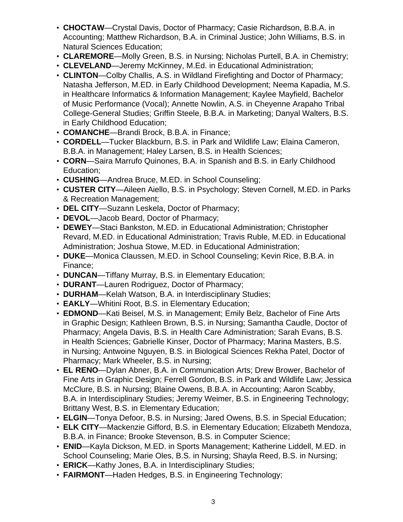- **CHOCTAW**—Crystal Davis, Doctor of Pharmacy; Casie Richardson, B.B.A. in Accounting; Matthew Richardson, B.A. in Criminal Justice; John Williams, B.S. in Natural Sciences Education;
- **CLAREMORE**—Molly Green, B.S. in Nursing; Nicholas Purtell, B.A. in Chemistry;
- **CLEVELAND**—Jeremy McKinney, M.Ed. in Educational Administration;
- **CLINTON**—Colby Challis, A.S. in Wildland Firefighting and Doctor of Pharmacy; Natasha Jefferson, M.ED. in Early Childhood Development; Neema Kapadia, M.S. in Healthcare Informatics & Information Management; Kaylee Mayfield, Bachelor of Music Performance (Vocal); Annette Nowlin, A.S. in Cheyenne Arapaho Tribal College-General Studies; Griffin Steele, B.B.A. in Marketing; Danyal Walters, B.S. in Early Childhood Education;
- **COMANCHE**—Brandi Brock, B.B.A. in Finance;
- **CORDELL**—Tucker Blackburn, B.S. in Park and Wildlife Law; Elaina Cameron, B.B.A. in Management; Haley Larsen, B.S. in Health Sciences;
- **CORN**—Saira Marrufo Quinones, B.A. in Spanish and B.S. in Early Childhood Education;
- **CUSHING**—Andrea Bruce, M.ED. in School Counseling;
- **CUSTER CITY**—Aileen Aiello, B.S. in Psychology; Steven Cornell, M.ED. in Parks & Recreation Management;
- **DEL CITY**—Suzann Leskela, Doctor of Pharmacy;
- **DEVOL**—Jacob Beard, Doctor of Pharmacy;
- **DEWEY**—Staci Bankston, M.ED. in Educational Administration; Christopher Revard, M.ED. in Educational Administration; Travis Ruble, M.ED. in Educational Administration; Joshua Stowe, M.ED. in Educational Administration;
- **DUKE**—Monica Claussen, M.ED. in School Counseling; Kevin Rice, B.B.A. in Finance;
- **DUNCAN**—Tiffany Murray, B.S. in Elementary Education;
- **DURANT**—Lauren Rodriguez, Doctor of Pharmacy;
- **DURHAM**—Kelah Watson, B.A. in Interdisciplinary Studies;
- **EAKLY**—Whitini Root, B.S. in Elementary Education;
- **EDMOND**—Kati Beisel, M.S. in Management; Emily Belz, Bachelor of Fine Arts in Graphic Design; Kathleen Brown, B.S. in Nursing; Samantha Caudle, Doctor of Pharmacy; Angela Davis, B.S. in Health Care Administration; Sarah Evans, B.S. in Health Sciences; Gabrielle Kinser, Doctor of Pharmacy; Marina Masters, B.S. in Nursing; Antwoine Nguyen, B.S. in Biological Sciences Rekha Patel, Doctor of Pharmacy; Mark Wheeler, B.S. in Nursing;
- **EL RENO**—Dylan Abner, B.A. in Communication Arts; Drew Brower, Bachelor of Fine Arts in Graphic Design; Ferrell Gordon, B.S. in Park and Wildlife Law; Jessica McClure, B.S. in Nursing; Blaine Owens, B.B.A. in Accounting; Aaron Scabby, B.A. in Interdisciplinary Studies; Jeremy Weimer, B.S. in Engineering Technology; Brittany West, B.S. in Elementary Education;
- **ELGIN**—Tonya Defoor, B.S. in Nursing; Jared Owens, B.S. in Special Education;
- **ELK CITY**—Mackenzie Gifford, B.S. in Elementary Education; Elizabeth Mendoza, B.B.A. in Finance; Brooke Stevenson, B.S. in Computer Science;
- **ENID**—Kayla Dickson, M.ED. in Sports Management; Katherine Liddell, M.ED. in School Counseling; Marie Oles, B.S. in Nursing; Shayla Reed, B.S. in Nursing;
- **ERICK**—Kathy Jones, B.A. in Interdisciplinary Studies;
- **FAIRMONT**—Haden Hedges, B.S. in Engineering Technology;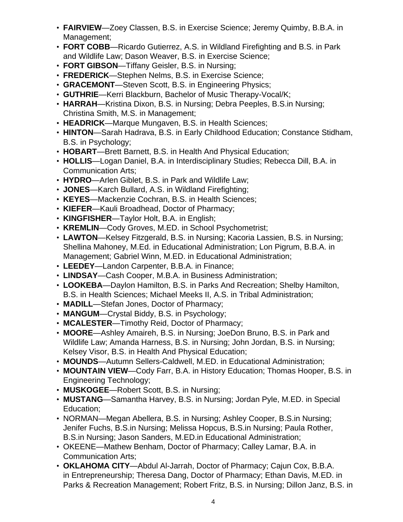- **FAIRVIEW**—Zoey Classen, B.S. in Exercise Science; Jeremy Quimby, B.B.A. in Management;
- **FORT COBB**—Ricardo Gutierrez, A.S. in Wildland Firefighting and B.S. in Park and Wildlife Law; Dason Weaver, B.S. in Exercise Science;
- **FORT GIBSON**—Tiffany Geisler, B.S. in Nursing;
- **FREDERICK**—Stephen Nelms, B.S. in Exercise Science;
- **GRACEMONT**—Steven Scott, B.S. in Engineering Physics;
- **GUTHRIE**—Kerri Blackburn, Bachelor of Music Therapy-Vocal/K;
- **HARRAH**—Kristina Dixon, B.S. in Nursing; Debra Peeples, B.S.in Nursing; Christina Smith, M.S. in Management;
- **HEADRICK**—Marque Mungaven, B.S. in Health Sciences;
- **HINTON**—Sarah Hadrava, B.S. in Early Childhood Education; Constance Stidham, B.S. in Psychology;
- **HOBART**—Brett Barnett, B.S. in Health And Physical Education;
- **HOLLIS**—Logan Daniel, B.A. in Interdisciplinary Studies; Rebecca Dill, B.A. in Communication Arts;
- **HYDRO**—Arlen Giblet, B.S. in Park and Wildlife Law;
- **JONES**—Karch Bullard, A.S. in Wildland Firefighting;
- **KEYES**—Mackenzie Cochran, B.S. in Health Sciences;
- **KIEFER**—Kauli Broadhead, Doctor of Pharmacy;
- **KINGFISHER**—Taylor Holt, B.A. in English;
- **KREMLIN**—Cody Groves, M.ED. in School Psychometrist;
- **LAWTON**—Kelsey Fitzgerald, B.S. in Nursing; Kacoria Lassien, B.S. in Nursing; Shellina Mahoney, M.Ed. in Educational Administration; Lon Pigrum, B.B.A. in Management; Gabriel Winn, M.ED. in Educational Administration;
- **LEEDEY**—Landon Carpenter, B.B.A. in Finance;
- **LINDSAY**—Cash Cooper, M.B.A. in Business Administration;
- **LOOKEBA**—Daylon Hamilton, B.S. in Parks And Recreation; Shelby Hamilton, B.S. in Health Sciences; Michael Meeks II, A.S. in Tribal Administration;
- **MADILL**—Stefan Jones, Doctor of Pharmacy;
- **MANGUM**—Crystal Biddy, B.S. in Psychology;
- **MCALESTER**—Timothy Reid, Doctor of Pharmacy;
- **MOORE**—Ashley Amaireh, B.S. in Nursing; JoeDon Bruno, B.S. in Park and Wildlife Law; Amanda Harness, B.S. in Nursing; John Jordan, B.S. in Nursing; Kelsey Visor, B.S. in Health And Physical Education;
- **MOUNDS**—Autumn Sellers-Caldwell, M.ED. in Educational Administration;
- **MOUNTAIN VIEW**—Cody Farr, B.A. in History Education; Thomas Hooper, B.S. in Engineering Technology;
- **MUSKOGEE**—Robert Scott, B.S. in Nursing;
- **MUSTANG**—Samantha Harvey, B.S. in Nursing; Jordan Pyle, M.ED. in Special Education;
- NORMAN—Megan Abellera, B.S. in Nursing; Ashley Cooper, B.S.in Nursing; Jenifer Fuchs, B.S.in Nursing; Melissa Hopcus, B.S.in Nursing; Paula Rother, B.S.in Nursing; Jason Sanders, M.ED.in Educational Administration;
- OKEENE—Mathew Benham, Doctor of Pharmacy; Calley Lamar, B.A. in Communication Arts;
- **OKLAHOMA CITY**—Abdul Al-Jarrah, Doctor of Pharmacy; Cajun Cox, B.B.A. in Entrepreneurship; Theresa Dang, Doctor of Pharmacy; Ethan Davis, M.ED. in Parks & Recreation Management; Robert Fritz, B.S. in Nursing; Dillon Janz, B.S. in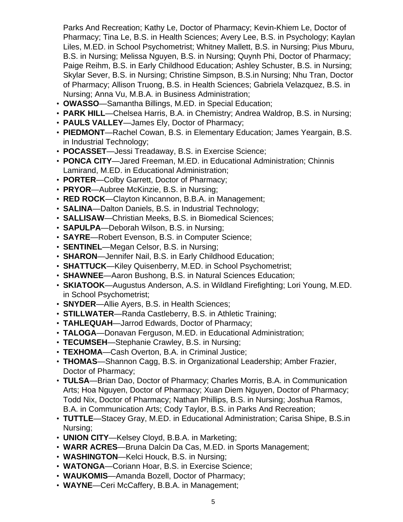Parks And Recreation; Kathy Le, Doctor of Pharmacy; Kevin-Khiem Le, Doctor of Pharmacy; Tina Le, B.S. in Health Sciences; Avery Lee, B.S. in Psychology; Kaylan Liles, M.ED. in School Psychometrist; Whitney Mallett, B.S. in Nursing; Pius Mburu, B.S. in Nursing; Melissa Nguyen, B.S. in Nursing; Quynh Phi, Doctor of Pharmacy; Paige Reihm, B.S. in Early Childhood Education; Ashley Schuster, B.S. in Nursing; Skylar Sever, B.S. in Nursing; Christine Simpson, B.S.in Nursing; Nhu Tran, Doctor of Pharmacy; Allison Truong, B.S. in Health Sciences; Gabriela Velazquez, B.S. in Nursing; Anna Vu, M.B.A. in Business Administration;

- **OWASSO**—Samantha Billings, M.ED. in Special Education;
- **PARK HILL**—Chelsea Harris, B.A. in Chemistry; Andrea Waldrop, B.S. in Nursing;
- **PAULS VALLEY**—James Ely, Doctor of Pharmacy;
- **PIEDMONT**—Rachel Cowan, B.S. in Elementary Education; James Yeargain, B.S. in Industrial Technology;
- **POCASSET**—Jessi Treadaway, B.S. in Exercise Science;
- **PONCA CITY**—Jared Freeman, M.ED. in Educational Administration; Chinnis Lamirand, M.ED. in Educational Administration;
- **PORTER**—Colby Garrett, Doctor of Pharmacy;
- **PRYOR**—Aubree McKinzie, B.S. in Nursing;
- **RED ROCK**—Clayton Kincannon, B.B.A. in Management;
- **SALINA**—Dalton Daniels, B.S. in Industrial Technology;
- **SALLISAW**—Christian Meeks, B.S. in Biomedical Sciences;
- **SAPULPA**—Deborah Wilson, B.S. in Nursing;
- **SAYRE**—Robert Evenson, B.S. in Computer Science;
- **SENTINEL**—Megan Celsor, B.S. in Nursing;
- **SHARON**—Jennifer Nail, B.S. in Early Childhood Education;
- **SHATTUCK**—Kiley Quisenberry, M.ED. in School Psychometrist;
- **SHAWNEE**—Aaron Bushong, B.S. in Natural Sciences Education;
- **SKIATOOK**—Augustus Anderson, A.S. in Wildland Firefighting; Lori Young, M.ED. in School Psychometrist;
- **SNYDER**—Allie Ayers, B.S. in Health Sciences;
- **STILLWATER**—Randa Castleberry, B.S. in Athletic Training;
- **TAHLEQUAH**—Jarrod Edwards, Doctor of Pharmacy;
- **TALOGA**—Donavan Ferguson, M.ED. in Educational Administration;
- **TECUMSEH**—Stephanie Crawley, B.S. in Nursing;
- **TEXHOMA**—Cash Overton, B.A. in Criminal Justice;
- **THOMAS**—Shannon Cagg, B.S. in Organizational Leadership; Amber Frazier, Doctor of Pharmacy;
- **TULSA**—Brian Dao, Doctor of Pharmacy; Charles Morris, B.A. in Communication Arts; Hoa Nguyen, Doctor of Pharmacy; Xuan Diem Nguyen, Doctor of Pharmacy; Todd Nix, Doctor of Pharmacy; Nathan Phillips, B.S. in Nursing; Joshua Ramos, B.A. in Communication Arts; Cody Taylor, B.S. in Parks And Recreation;
- **TUTTLE**—Stacey Gray, M.ED. in Educational Administration; Carisa Shipe, B.S.in Nursing;
- **UNION CITY**—Kelsey Cloyd, B.B.A. in Marketing;
- **WARR ACRES**—Bruna Dalcin Da Cas, M.ED. in Sports Management;
- **WASHINGTON**—Kelci Houck, B.S. in Nursing;
- **WATONGA**—Coriann Hoar, B.S. in Exercise Science;
- **WAUKOMIS**—Amanda Bozell, Doctor of Pharmacy;
- **WAYNE**—Ceri McCaffery, B.B.A. in Management;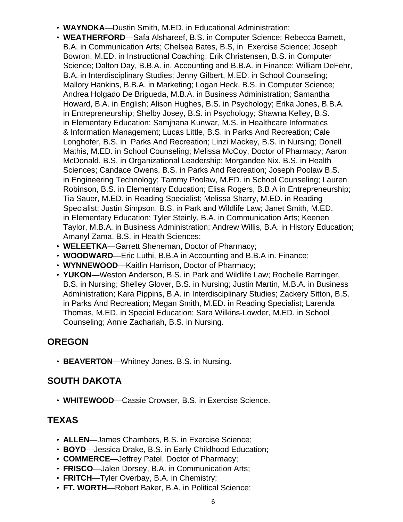- **WAYNOKA**—Dustin Smith, M.ED. in Educational Administration;
- **WEATHERFORD**—Safa Alshareef, B.S. in Computer Science; Rebecca Barnett, B.A. in Communication Arts; Chelsea Bates, B.S, in Exercise Science; Joseph Bowron, M.ED. in Instructional Coaching; Erik Christensen, B.S. in Computer Science; Dalton Day, B.B.A. in. Accounting and B.B.A. in Finance; William DeFehr, B.A. in Interdisciplinary Studies; Jenny Gilbert, M.ED. in School Counseling; Mallory Hankins, B.B.A. in Marketing; Logan Heck, B.S. in Computer Science; Andrea Holgado De Brigueda, M.B.A. in Business Administration; Samantha Howard, B.A. in English; Alison Hughes, B.S. in Psychology; Erika Jones, B.B.A. in Entrepreneurship; Shelby Josey, B.S. in Psychology; Shawna Kelley, B.S. in Elementary Education; Samjhana Kunwar, M.S. in Healthcare Informatics & Information Management; Lucas Little, B.S. in Parks And Recreation; Cale Longhofer, B.S. in Parks And Recreation; Linzi Mackey, B.S. in Nursing; Donell Mathis, M.ED. in School Counseling; Melissa McCoy, Doctor of Pharmacy; Aaron McDonald, B.S. in Organizational Leadership; Morgandee Nix, B.S. in Health Sciences; Candace Owens, B.S. in Parks And Recreation; Joseph Poolaw B.S. in Engineering Technology; Tammy Poolaw, M.ED. in School Counseling; Lauren Robinson, B.S. in Elementary Education; Elisa Rogers, B.B.A in Entrepreneurship; Tia Sauer, M.ED. in Reading Specialist; Melissa Sharry, M.ED. in Reading Specialist; Justin Simpson, B.S. in Park and Wildlife Law; Janet Smith, M.ED. in Elementary Education; Tyler Steinly, B.A. in Communication Arts; Keenen Taylor, M.B.A. in Business Administration; Andrew Willis, B.A. in History Education; Amanyl Zama, B.S. in Health Sciences;
- **WELEETKA**—Garrett Sheneman, Doctor of Pharmacy;
- **WOODWARD**—Eric Luthi, B.B.A in Accounting and B.B.A in. Finance;
- **WYNNEWOOD**—Kaitlin Harrison, Doctor of Pharmacy;
- **YUKON**—Weston Anderson, B.S. in Park and Wildlife Law; Rochelle Barringer, B.S. in Nursing; Shelley Glover, B.S. in Nursing; Justin Martin, M.B.A. in Business Administration; Kara Pippins, B.A. in Interdisciplinary Studies; Zackery Sitton, B.S. in Parks And Recreation; Megan Smith, M.ED. in Reading Specialist; Larenda Thomas, M.ED. in Special Education; Sara Wilkins-Lowder, M.ED. in School Counseling; Annie Zachariah, B.S. in Nursing.

# **OREGON**

• **BEAVERTON**—Whitney Jones. B.S. in Nursing.

## **SOUTH DAKOTA**

• **WHITEWOOD**—Cassie Crowser, B.S. in Exercise Science.

## **TEXAS**

- **ALLEN**—James Chambers, B.S. in Exercise Science;
- **BOYD**—Jessica Drake, B.S. in Early Childhood Education;
- **COMMERCE**—Jeffrey Patel, Doctor of Pharmacy;
- **FRISCO**—Jalen Dorsey, B.A. in Communication Arts;
- **FRITCH**—Tyler Overbay, B.A. in Chemistry;
- **FT. WORTH**—Robert Baker, B.A. in Political Science;